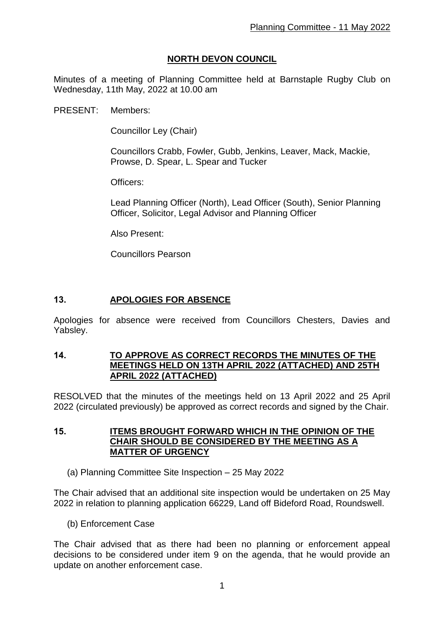## **NORTH DEVON COUNCIL**

Minutes of a meeting of Planning Committee held at Barnstaple Rugby Club on Wednesday, 11th May, 2022 at 10.00 am

PRESENT: Members:

Councillor Ley (Chair)

Councillors Crabb, Fowler, Gubb, Jenkins, Leaver, Mack, Mackie, Prowse, D. Spear, L. Spear and Tucker

Officers:

Lead Planning Officer (North), Lead Officer (South), Senior Planning Officer, Solicitor, Legal Advisor and Planning Officer

Also Present:

Councillors Pearson

#### **13. APOLOGIES FOR ABSENCE**

Apologies for absence were received from Councillors Chesters, Davies and Yabsley.

#### **14. TO APPROVE AS CORRECT RECORDS THE MINUTES OF THE MEETINGS HELD ON 13TH APRIL 2022 (ATTACHED) AND 25TH APRIL 2022 (ATTACHED)**

RESOLVED that the minutes of the meetings held on 13 April 2022 and 25 April 2022 (circulated previously) be approved as correct records and signed by the Chair.

**15. ITEMS BROUGHT FORWARD WHICH IN THE OPINION OF THE CHAIR SHOULD BE CONSIDERED BY THE MEETING AS A MATTER OF URGENCY**

(a) Planning Committee Site Inspection – 25 May 2022

The Chair advised that an additional site inspection would be undertaken on 25 May 2022 in relation to planning application 66229, Land off Bideford Road, Roundswell.

(b) Enforcement Case

The Chair advised that as there had been no planning or enforcement appeal decisions to be considered under item 9 on the agenda, that he would provide an update on another enforcement case.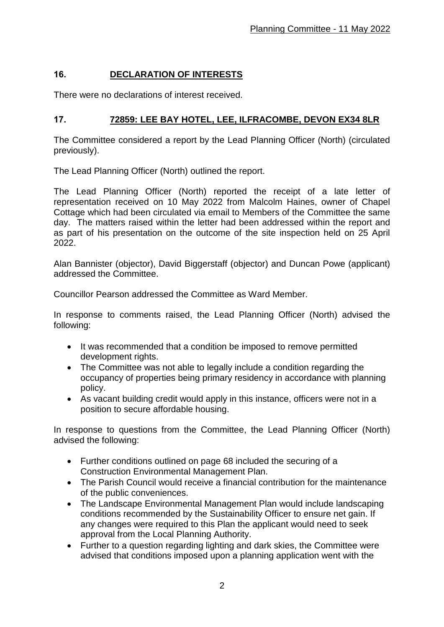# **16. DECLARATION OF INTERESTS**

There were no declarations of interest received.

## **17. 72859: LEE BAY HOTEL, LEE, ILFRACOMBE, DEVON EX34 8LR**

The Committee considered a report by the Lead Planning Officer (North) (circulated previously).

The Lead Planning Officer (North) outlined the report.

The Lead Planning Officer (North) reported the receipt of a late letter of representation received on 10 May 2022 from Malcolm Haines, owner of Chapel Cottage which had been circulated via email to Members of the Committee the same day. The matters raised within the letter had been addressed within the report and as part of his presentation on the outcome of the site inspection held on 25 April 2022.

Alan Bannister (objector), David Biggerstaff (objector) and Duncan Powe (applicant) addressed the Committee.

Councillor Pearson addressed the Committee as Ward Member.

In response to comments raised, the Lead Planning Officer (North) advised the following:

- It was recommended that a condition be imposed to remove permitted development rights.
- The Committee was not able to legally include a condition regarding the occupancy of properties being primary residency in accordance with planning policy.
- As vacant building credit would apply in this instance, officers were not in a position to secure affordable housing.

In response to questions from the Committee, the Lead Planning Officer (North) advised the following:

- Further conditions outlined on page 68 included the securing of a Construction Environmental Management Plan.
- The Parish Council would receive a financial contribution for the maintenance of the public conveniences.
- The Landscape Environmental Management Plan would include landscaping conditions recommended by the Sustainability Officer to ensure net gain. If any changes were required to this Plan the applicant would need to seek approval from the Local Planning Authority.
- Further to a question regarding lighting and dark skies, the Committee were advised that conditions imposed upon a planning application went with the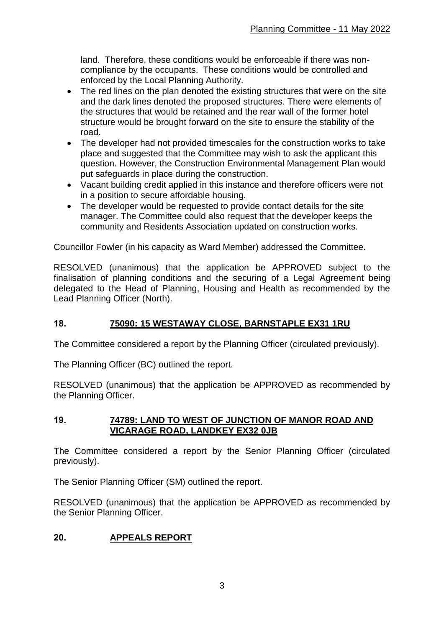land. Therefore, these conditions would be enforceable if there was noncompliance by the occupants. These conditions would be controlled and enforced by the Local Planning Authority.

- The red lines on the plan denoted the existing structures that were on the site and the dark lines denoted the proposed structures. There were elements of the structures that would be retained and the rear wall of the former hotel structure would be brought forward on the site to ensure the stability of the road.
- The developer had not provided timescales for the construction works to take place and suggested that the Committee may wish to ask the applicant this question. However, the Construction Environmental Management Plan would put safeguards in place during the construction.
- Vacant building credit applied in this instance and therefore officers were not in a position to secure affordable housing.
- The developer would be requested to provide contact details for the site manager. The Committee could also request that the developer keeps the community and Residents Association updated on construction works.

Councillor Fowler (in his capacity as Ward Member) addressed the Committee.

RESOLVED (unanimous) that the application be APPROVED subject to the finalisation of planning conditions and the securing of a Legal Agreement being delegated to the Head of Planning, Housing and Health as recommended by the Lead Planning Officer (North).

#### **18. 75090: 15 WESTAWAY CLOSE, BARNSTAPLE EX31 1RU**

The Committee considered a report by the Planning Officer (circulated previously).

The Planning Officer (BC) outlined the report.

RESOLVED (unanimous) that the application be APPROVED as recommended by the Planning Officer.

#### **19. 74789: LAND TO WEST OF JUNCTION OF MANOR ROAD AND VICARAGE ROAD, LANDKEY EX32 0JB**

The Committee considered a report by the Senior Planning Officer (circulated previously).

The Senior Planning Officer (SM) outlined the report.

RESOLVED (unanimous) that the application be APPROVED as recommended by the Senior Planning Officer.

### **20. APPEALS REPORT**